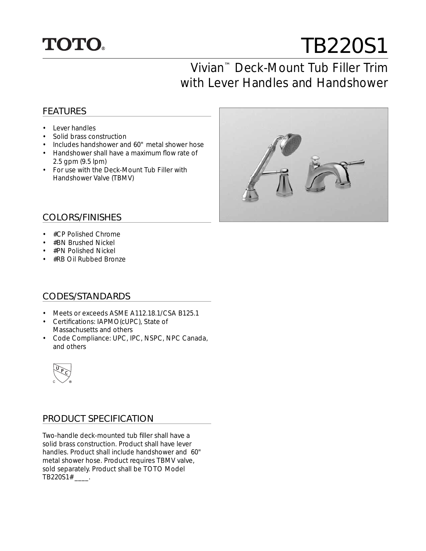

# TB220S1

# Vivian™ Deck-Mount Tub Filler Trim with Lever Handles and Handshower

### FEATURES

- Lever handles
- Solid brass construction
- Includes handshower and 60" metal shower hose
- Handshower shall have a maximum flow rate of 2.5 gpm (9.5 lpm)
- For use with the Deck-Mount Tub Filler with Handshower Valve (TBMV)



#### COLORS/FINISHES

- #CP Polished Chrome
- #BN Brushed Nickel
- #PN Polished Nickel
- #RB Oil Rubbed Bronze

### CODES/STANDARDS

- Meets or exceeds ASME A112.18.1/CSA B125.1
- Certifications: IAPMO(cUPC), State of Massachusetts and others
- Code Compliance: UPC, IPC, NSPC, NPC Canada, and others



### PRODUCT SPECIFICATION

Two-handle deck-mounted tub filler shall have a solid brass construction. Product shall have lever handles. Product shall include handshower and 60" metal shower hose. Product requires TBMV valve, sold separately. Product shall be TOTO Model TB220S1# \_\_\_\_.